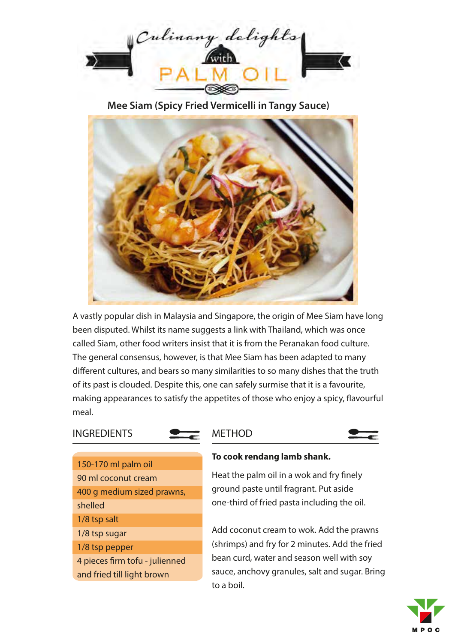

**Mee Siam (Spicy Fried Vermicelli in Tangy Sauce)**



A vastly popular dish in Malaysia and Singapore, the origin of Mee Siam have long been disputed. Whilst its name suggests a link with Thailand, which was once called Siam, other food writers insist that it is from the Peranakan food culture. The general consensus, however, is that Mee Siam has been adapted to many different cultures, and bears so many similarities to so many dishes that the truth of its past is clouded. Despite this, one can safely surmise that it is a favourite, making appearances to satisfy the appetites of those who enjoy a spicy, flavourful meal.

# **INGREDIENTS**

#### METHOD



150-170 ml palm oil 90 ml coconut cream 400 g medium sized prawns, shelled 1/8 tsp salt 1/8 tsp sugar 1/8 tsp pepper 4 pieces firm tofu - julienned and fried till light brown

#### **To cook rendang lamb shank.**

Heat the palm oil in a wok and fry finely ground paste until fragrant. Put aside one-third of fried pasta including the oil.

Add coconut cream to wok. Add the prawns (shrimps) and fry for 2 minutes. Add the fried bean curd, water and season well with soy sauce, anchovy granules, salt and sugar. Bring to a boil.